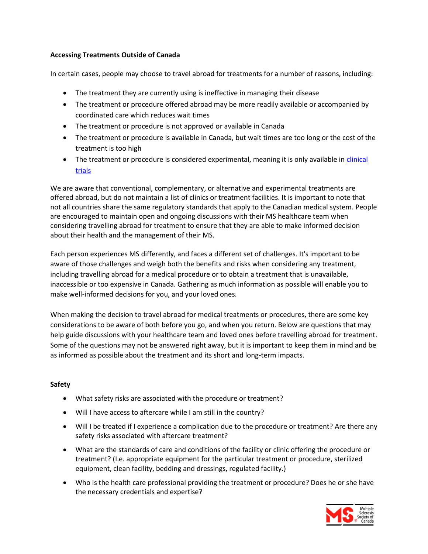# **Accessing Treatments Outside of Canada**

In certain cases, people may choose to travel abroad for treatments for a number of reasons, including:

- The treatment they are currently using is ineffective in managing their disease
- The treatment or procedure offered abroad may be more readily available or accompanied by coordinated care which reduces wait times
- The treatment or procedure is not approved or available in Canada
- The treatment or procedure is available in Canada, but wait times are too long or the cost of the treatment is too high
- The treatment or procedure is considered experimental, meaning it is only available in clinical [trials](https://beta.mssociety.ca/participate-in-research/introduction-to-clinical-trials)

We are aware that conventional, complementary, or alternative and experimental treatments are offered abroad, but do not maintain a list of clinics or treatment facilities. It is important to note that not all countries share the same regulatory standards that apply to the Canadian medical system. People are encouraged to maintain open and ongoing discussions with their MS healthcare team when considering travelling abroad for treatment to ensure that they are able to make informed decision about their health and the management of their MS.

Each person experiences MS differently, and faces a different set of challenges. It's important to be aware of those challenges and weigh both the benefits and risks when considering any treatment, including travelling abroad for a medical procedure or to obtain a treatment that is unavailable, inaccessible or too expensive in Canada. Gathering as much information as possible will enable you to make well-informed decisions for you, and your loved ones.

When making the decision to travel abroad for medical treatments or procedures, there are some key considerations to be aware of both before you go, and when you return. Below are questions that may help guide discussions with your healthcare team and loved ones before travelling abroad for treatment. Some of the questions may not be answered right away, but it is important to keep them in mind and be as informed as possible about the treatment and its short and long-term impacts.

### **Safety**

- What safety risks are associated with the procedure or treatment?
- Will I have access to aftercare while I am still in the country?
- Will I be treated if I experience a complication due to the procedure or treatment? Are there any safety risks associated with aftercare treatment?
- What are the standards of care and conditions of the facility or clinic offering the procedure or treatment? (I.e. appropriate equipment for the particular treatment or procedure, sterilized equipment, clean facility, bedding and dressings, regulated facility.)
- Who is the health care professional providing the treatment or procedure? Does he or she have the necessary credentials and expertise?

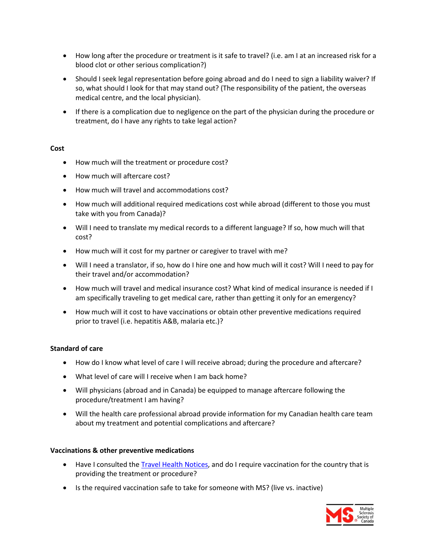- How long after the procedure or treatment is it safe to travel? (i.e. am I at an increased risk for a blood clot or other serious complication?)
- Should I seek legal representation before going abroad and do I need to sign a liability waiver? If so, what should I look for that may stand out? (The responsibility of the patient, the overseas medical centre, and the local physician).
- If there is a complication due to negligence on the part of the physician during the procedure or treatment, do I have any rights to take legal action?

### **Cost**

- How much will the treatment or procedure cost?
- How much will aftercare cost?
- How much will travel and accommodations cost?
- How much will additional required medications cost while abroad (different to those you must take with you from Canada)?
- Will I need to translate my medical records to a different language? If so, how much will that cost?
- How much will it cost for my partner or caregiver to travel with me?
- Will I need a translator, if so, how do I hire one and how much will it cost? Will I need to pay for their travel and/or accommodation?
- How much will travel and medical insurance cost? What kind of medical insurance is needed if I am specifically traveling to get medical care, rather than getting it only for an emergency?
- How much will it cost to have vaccinations or obtain other preventive medications required prior to travel (i.e. hepatitis A&B, malaria etc.)?

### **Standard of care**

- How do I know what level of care I will receive abroad; during the procedure and aftercare?
- What level of care will I receive when I am back home?
- Will physicians (abroad and in Canada) be equipped to manage aftercare following the procedure/treatment I am having?
- Will the health care professional abroad provide information for my Canadian health care team about my treatment and potential complications and aftercare?

### **Vaccinations & other preventive medications**

- Have I consulted the [Travel Health Notices,](http://wwwnc.cdc.gov/travel/notices) and do I require vaccination for the country that is providing the treatment or procedure?
- Is the required vaccination safe to take for someone with MS? (live vs. inactive)

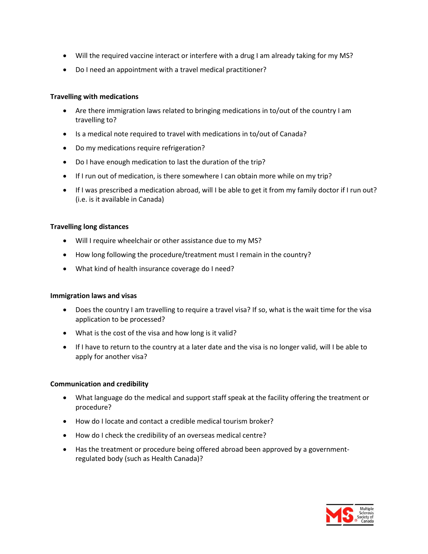- Will the required vaccine interact or interfere with a drug I am already taking for my MS?
- Do I need an appointment with a travel medical practitioner?

### **Travelling with medications**

- Are there immigration laws related to bringing medications in to/out of the country I am travelling to?
- Is a medical note required to travel with medications in to/out of Canada?
- Do my medications require refrigeration?
- Do I have enough medication to last the duration of the trip?
- If I run out of medication, is there somewhere I can obtain more while on my trip?
- If I was prescribed a medication abroad, will I be able to get it from my family doctor if I run out? (i.e. is it available in Canada)

### **Travelling long distances**

- Will I require wheelchair or other assistance due to my MS?
- How long following the procedure/treatment must I remain in the country?
- What kind of health insurance coverage do I need?

### **Immigration laws and visas**

- Does the country I am travelling to require a travel visa? If so, what is the wait time for the visa application to be processed?
- What is the cost of the visa and how long is it valid?
- If I have to return to the country at a later date and the visa is no longer valid, will I be able to apply for another visa?

### **Communication and credibility**

- What language do the medical and support staff speak at the facility offering the treatment or procedure?
- How do I locate and contact a credible medical tourism broker?
- How do I check the credibility of an overseas medical centre?
- Has the treatment or procedure being offered abroad been approved by a governmentregulated body (such as Health Canada)?